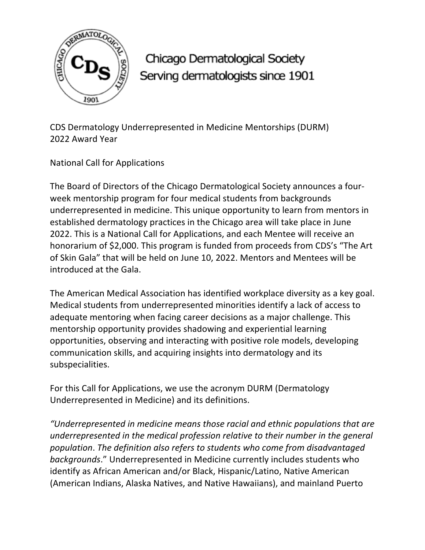

Chicago Dermatological Society Serving dermatologists since 1901

CDS Dermatology Underrepresented in Medicine Mentorships (DURM) 2022 Award Year

National Call for Applications

The Board of Directors of the Chicago Dermatological Society announces a fourweek mentorship program for four medical students from backgrounds underrepresented in medicine. This unique opportunity to learn from mentors in established dermatology practices in the Chicago area will take place in June 2022. This is a National Call for Applications, and each Mentee will receive an honorarium of \$2,000. This program is funded from proceeds from CDS's "The Art of Skin Gala" that will be held on June 10, 2022. Mentors and Mentees will be introduced at the Gala.

The American Medical Association has identified workplace diversity as a key goal. Medical students from underrepresented minorities identify a lack of access to adequate mentoring when facing career decisions as a major challenge. This mentorship opportunity provides shadowing and experiential learning opportunities, observing and interacting with positive role models, developing communication skills, and acquiring insights into dermatology and its subspecialities.

For this Call for Applications, we use the acronym DURM (Dermatology Underrepresented in Medicine) and its definitions.

*"Underrepresented in medicine means those racial and ethnic populations that are underrepresented in the medical profession relative to their number in the general population*. *The definition also refers to students who come from disadvantaged backgrounds*." Underrepresented in Medicine currently includes students who identify as African American and/or Black, Hispanic/Latino, Native American (American Indians, Alaska Natives, and Native Hawaiians), and mainland Puerto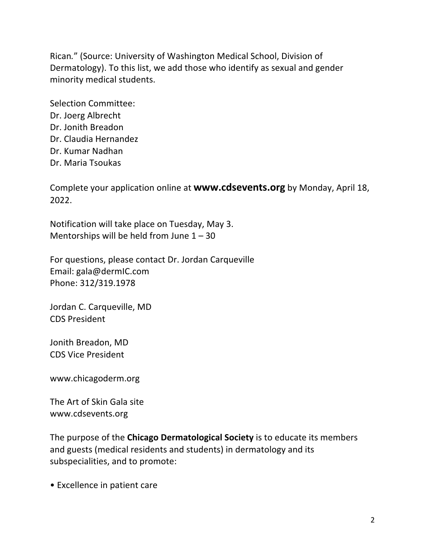Rican*.*" (Source: University of Washington Medical School, Division of Dermatology). To this list, we add those who identify as sexual and gender minority medical students.

Selection Committee: Dr. Joerg Albrecht Dr. Jonith Breadon Dr. Claudia Hernandez Dr. Kumar Nadhan Dr. Maria Tsoukas

Complete your application online at **www.cdsevents.org** by Monday, April 18, 2022.

Notification will take place on Tuesday, May 3. Mentorships will be held from June  $1 - 30$ 

For questions, please contact Dr. Jordan Carqueville Email: gala@dermIC.com Phone: 312/319.1978

Jordan C. Carqueville, MD CDS President

Jonith Breadon, MD CDS Vice President

www.chicagoderm.org

The Art of Skin Gala site www.cdsevents.org

The purpose of the **Chicago Dermatological Society** is to educate its members and guests (medical residents and students) in dermatology and its subspecialities, and to promote:

• Excellence in patient care